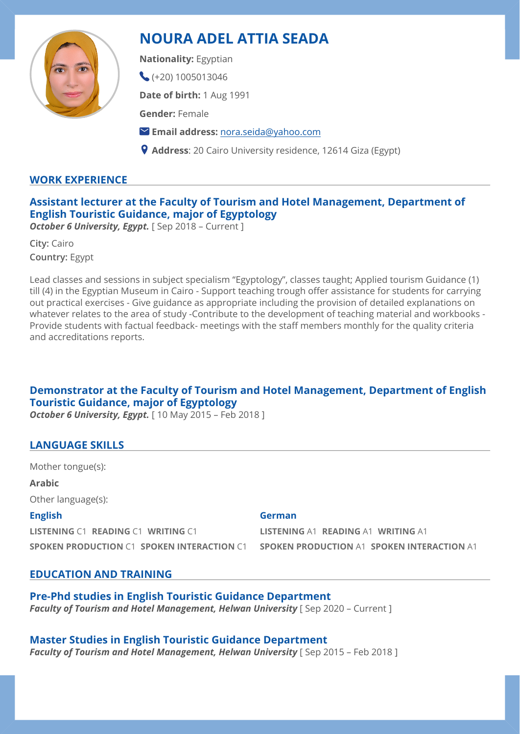

# **NOURA ADEL ATTIA SEADA**

**Nationality:** Egyptian

 $\left( +20\right)$  1005013046

**Date of birth:** 1 Aug 1991

**Gender:** Female

**Email address:** [nora.seida@yahoo.com](mailto:nora.seida@yahoo.com)

**Address**: 20 Cairo University residence, 12614 Giza (Egypt)

# **WORK EXPERIENCE**

# **Assistant lecturer at the Faculty of Tourism and Hotel Management, Department of English Touristic Guidance, major of Egyptology**

**October 6 University, Egypt.** [ Sep 2018 - Current ]

**City:** Cairo **Country:** Egypt

Lead classes and sessions in subject specialism "Egyptology", classes taught; Applied tourism Guidance (1) till (4) in the Egyptian Museum in Cairo - Support teaching trough offer assistance for students for carrying out practical exercises - Give guidance as appropriate including the provision of detailed explanations on whatever relates to the area of study -Contribute to the development of teaching material and workbooks - Provide students with factual feedback- meetings with the staff members monthly for the quality criteria and accreditations reports.

# **Demonstrator at the Faculty of Tourism and Hotel Management, Department of English Touristic Guidance, major of Egyptology**

**October 6 University, Egypt.** [10 May 2015 – Feb 2018 ]

# **LANGUAGE SKILLS**

Mother tongue(s):

**Arabic**

Other language(s):

#### **English**

**LISTENING** C1 **READING** C1 **WRITING** C1 **SPOKEN PRODUCTION** C1 **SPOKEN INTERACTION** C1

#### **German**

**LISTENING** A1 **READING** A1 **WRITING** A1 **SPOKEN PRODUCTION** A1 **SPOKEN INTERACTION** A1

# **EDUCATION AND TRAINING**

**Pre-Phd studies in English Touristic Guidance Department**  *Faculty of Tourism and Hotel Management, Helwan University* [Sep 2020 – Current ]

# **Master Studies in English Touristic Guidance Department**

*Faculty of Tourism and Hotel Management, Helwan University* [ Sep 2015 – Feb 2018 ]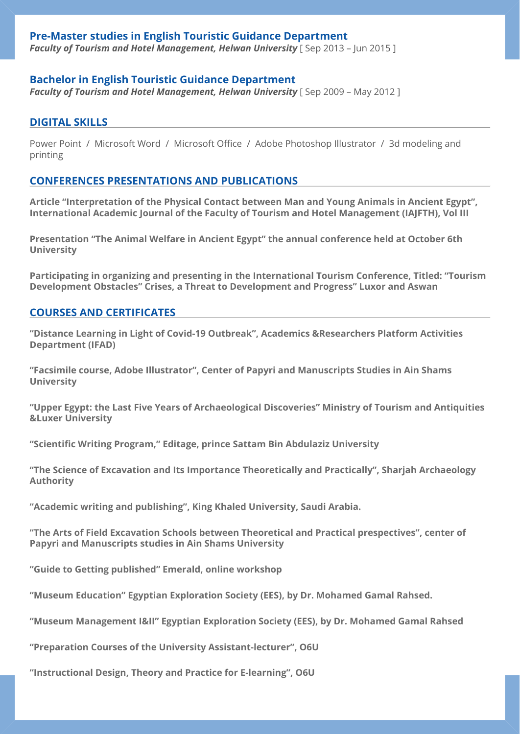#### **Pre-Master studies in English Touristic Guidance Department**

**Faculty of Tourism and Hotel Management, Helwan University** [Sep 2013 - Jun 2015]

#### **Bachelor in English Touristic Guidance Department**

**Faculty of Tourism and Hotel Management, Helwan University** [Sep 2009 – May 2012]

#### **DIGITAL SKILLS**

Power Point / Microsoft Word / Microsoft Office / Adobe Photoshop Illustrator / 3d modeling and printing

#### **CONFERENCES PRESENTATIONS AND PUBLICATIONS**

**Article "Interpretation of the Physical Contact between Man and Young Animals in Ancient Egypt", International Academic Journal of the Faculty of Tourism and Hotel Management (IAJFTH), Vol III** 

**Presentation "The Animal Welfare in Ancient Egypt" the annual conference held at October 6th University** 

**Participating in organizing and presenting in the International Tourism Conference, Titled: "Tourism Development Obstacles" Crises, a Threat to Development and Progress" Luxor and Aswan** 

#### **COURSES AND CERTIFICATES**

**"Distance Learning in Light of Covid-19 Outbreak", Academics &Researchers Platform Activities Department (IFAD)** 

**"Facsimile course, Adobe Illustrator", Center of Papyri and Manuscripts Studies in Ain Shams University** 

**"Upper Egypt: the Last Five Years of Archaeological Discoveries" Ministry of Tourism and Antiquities &Luxer University** 

**"Scientific Writing Program," Editage, prince Sattam Bin Abdulaziz University** 

**"The Science of Excavation and Its Importance Theoretically and Practically", Sharjah Archaeology Authority** 

**"Academic writing and publishing", King Khaled University, Saudi Arabia.** 

**"The Arts of Field Excavation Schools between Theoretical and Practical prespectives", center of Papyri and Manuscripts studies in Ain Shams University** 

**"Guide to Getting published" Emerald, online workshop** 

**"Museum Education" Egyptian Exploration Society (EES), by Dr. Mohamed Gamal Rahsed.** 

**"Museum Management I&II" Egyptian Exploration Society (EES), by Dr. Mohamed Gamal Rahsed** 

**"Preparation Courses of the University Assistant-lecturer", O6U** 

**"Instructional Design, Theory and Practice for E-learning", O6U**